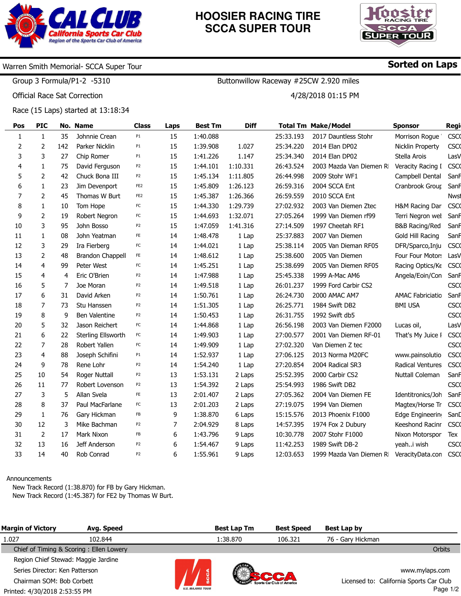

## **HOOSIER RACING TIRE SCCA SUPER TOUR**



## Warren Smith Memorial- SCCA Super Tour

Group 3 Formula/P1-2 -5310

Official Race Sat Correction

÷,

Race (15 Laps) started at 13:18:34

| Pos          | <b>PIC</b>     |     | No. Name                | <b>Class</b>    | Laps | <b>Best Tm</b> | <b>Diff</b> |           | <b>Total Tm Make/Model</b> | <b>Sponsor</b>            | Regi        |
|--------------|----------------|-----|-------------------------|-----------------|------|----------------|-------------|-----------|----------------------------|---------------------------|-------------|
| $\mathbf{1}$ | $\mathbf{1}$   | 35  | Johnnie Crean           | P1              | 15   | 1:40.088       |             | 25:33.193 | 2017 Dauntless Stohr       | Morrison Rogue            | <b>CSCO</b> |
| 2            | 2              | 142 | Parker Nicklin          | P <sub>1</sub>  | 15   | 1:39.908       | 1.027       | 25:34.220 | 2014 Elan DP02             | Nicklin Property          | <b>CSCO</b> |
| 3            | 3              | 27  | Chip Romer              | P <sub>1</sub>  | 15   | 1:41.226       | 1.147       | 25:34.340 | 2014 Elan DP02             | Stella Arois              | LasV        |
| 4            | $\mathbf{1}$   | 75  | David Ferguson          | P <sub>2</sub>  | 15   | 1:44.101       | 1:10.331    | 26:43.524 | 2003 Mazda Van Diemen RI   | Veracity Racing I         | <b>CSCO</b> |
| 5            | $\overline{2}$ | 42  | Chuck Bona III          | P <sub>2</sub>  | 15   | 1:45.134       | 1:11.805    | 26:44.998 | 2009 Stohr WF1             | Campbell Dental           | SanF        |
| 6            | $\mathbf{1}$   | 23  | Jim Devenport           | FE <sub>2</sub> | 15   | 1:45.809       | 1:26.123    | 26:59.316 | 2004 SCCA Ent              | Cranbrook Group           | SanF        |
| 7            | 2              | 45  | Thomas W Burt           | FE <sub>2</sub> | 15   | 1:45.387       | 1:26.366    | 26:59.559 | 2010 SCCA Ent              |                           | <b>Nwst</b> |
| 8            | $\mathbf{1}$   | 10  | Tom Hope                | FC              | 15   | 1:44.330       | 1:29.739    | 27:02.932 | 2003 Van Diemen Ztec       | H&M Racing Dar            | <b>CSCO</b> |
| 9            | $\overline{2}$ | 19  | Robert Negron           | FC              | 15   | 1:44.693       | 1:32.071    | 27:05.264 | 1999 Van Diemen rf99       | Terri Negron wel          | SanF        |
| 10           | 3              | 95  | John Bosso              | P <sub>2</sub>  | 15   | 1:47.059       | 1:41.316    | 27:14.509 | 1997 Cheetah RF1           | <b>B&amp;B Racing/Red</b> | SanF        |
| 11           | $\mathbf{1}$   | 08  | John Yeatman            | FE              | 14   | 1:48.478       | 1 Lap       | 25:37.883 | 2007 Van Diemen            | Gold Hill Racing          | SanF        |
| 12           | 3              | 29  | Ira Fierberg            | FC              | 14   | 1:44.021       | 1 Lap       | 25:38.114 | 2005 Van Dieman RF05       | DFR/Sparco, Inju          | <b>CSCO</b> |
| 13           | $\overline{2}$ | 48  | <b>Brandon Chappell</b> | FE              | 14   | 1:48.612       | 1 Lap       | 25:38.600 | 2005 Van Diemen            | Four Four Motors          | LasV        |
| 14           | 4              | 99  | Peter West              | FC              | 14   | 1:45.251       | 1 Lap       | 25:38.699 | 2005 Van Diemen RF05       | Racing Optics/Ke          | <b>CSCO</b> |
| 15           | 4              | 4   | Eric O'Brien            | P <sub>2</sub>  | 14   | 1:47.988       | 1 Lap       | 25:45.338 | 1999 A-Mac AM6             | Angela/Eoin/Con           | SanF        |
| 16           | 5              | 7   | Joe Moran               | P <sub>2</sub>  | 14   | 1:49.518       | 1 Lap       | 26:01.237 | 1999 Ford Carbir CS2       |                           | <b>CSCO</b> |
| 17           | 6              | 31  | David Arken             | P <sub>2</sub>  | 14   | 1:50.761       | 1 Lap       | 26:24.730 | 2000 AMAC AM7              | <b>AMAC Fabriciatio</b>   | SanF        |
| 18           | $\overline{7}$ | 73  | Stu Hanssen             | P <sub>2</sub>  | 14   | 1:51.305       | 1 Lap       | 26:25.771 | 1984 Swift DB2             | <b>BMI USA</b>            | <b>CSCO</b> |
| 19           | 8              | 9   | Ben Valentine           | P <sub>2</sub>  | 14   | 1:50.453       | 1 Lap       | 26:31.755 | 1992 Swift db5             |                           | <b>CSCO</b> |
| 20           | 5              | 32  | Jason Reichert          | FC              | 14   | 1:44.868       | 1 Lap       | 26:56.198 | 2003 Van Diemen F2000      | Lucas oil,                | LasV        |
| 21           | 6              | 22  | Sterling Ellsworth      | FC              | 14   | 1:49.903       | 1 Lap       | 27:00.577 | 2001 Van Diemen RF-01      | That's My Juice I         | <b>CSCO</b> |
| 22           | 7              | 28  | Robert Yallen           | FC              | 14   | 1:49.909       | 1 Lap       | 27:02.320 | Van Diemen Z tec           |                           | <b>CSCO</b> |
| 23           | 4              | 88  | Joseph Schifini         | P <sub>1</sub>  | 14   | 1:52.937       | 1 Lap       | 27:06.125 | 2013 Norma M20FC           | www.painsolutio           | <b>CSCO</b> |
| 24           | 9              | 78  | Rene Lohr               | P <sub>2</sub>  | 14   | 1:54.240       | 1 Lap       | 27:20.854 | 2004 Radical SR3           | Radical Ventures          | <b>CSCO</b> |
| 25           | 10             | 54  | Roger Nuttall           | P <sub>2</sub>  | 13   | 1:53.131       | 2 Laps      | 25:52.395 | 2000 Carbir CS2            | <b>Nuttall Coleman</b>    | Sanf        |
| 26           | 11             | 77  | Robert Lovenson         | P <sub>2</sub>  | 13   | 1:54.392       | 2 Laps      | 25:54.993 | 1986 Swift DB2             |                           | <b>CSCO</b> |
| 27           | 3              | 5   | Allan Svela             | FE              | 13   | 2:01.407       | 2 Laps      | 27:05.362 | 2004 Van Diemen FE         | Identitronics/Joh         | SanF        |
| 28           | 8              | 37  | Paul MacFarlane         | FC              | 13   | 2:01.203       | 2 Laps      | 27:19.075 | 1994 Van Diemen            | Magtex/Horse Tr           | <b>CSCO</b> |
| 29           | $\mathbf{1}$   | 76  | Gary Hickman            | FB              | 9    | 1:38.870       | 6 Laps      | 15:15.576 | 2013 Phoenix F1000         | Edge Engineering          | SanD        |
| 30           | 12             | 3   | Mike Bachman            | P <sub>2</sub>  | 7    | 2:04.929       | 8 Laps      | 14:57.395 | 1974 Fox 2 Dubury          | Keeshond Racinr           | <b>CSCO</b> |
| 31           | 2              | 17  | Mark Nixon              | FB              | 6    | 1:43.796       | 9 Laps      | 10:30.778 | 2007 Stohr F1000           | Nixon Motorspor           | Tex         |
| 32           | 13             | 16  | Jeff Anderson           | P <sub>2</sub>  | 6    | 1:54.467       | 9 Laps      | 11:42.253 | 1989 Swift DB-2            | yeahi wish                | <b>CSCO</b> |
| 33           | 14             | 40  | Rob Conrad              | P2              | 6    | 1:55.961       | 9 Laps      | 12:03.653 | 1999 Mazda Van Diemen RI   | VeracityData.con          | <b>CSCO</b> |

#### Announcements

New Track Record (1:38.870) for FB by Gary Hickman. New Track Record (1:45.387) for FE2 by Thomas W Burt.

| <b>Margin of Victory</b>            | Avg. Speed                              |                         | <b>Best Lap Tm</b> | <b>Best Speed</b>          | Best Lap by       |                                         |
|-------------------------------------|-----------------------------------------|-------------------------|--------------------|----------------------------|-------------------|-----------------------------------------|
| 1.027                               | 102.844                                 |                         | 1:38.870           | 106.321                    | 76 - Gary Hickman |                                         |
|                                     | Chief of Timing & Scoring: Ellen Lowery |                         |                    |                            |                   | Orbits                                  |
| Region Chief Stewad: Maggie Jardine |                                         |                         |                    |                            |                   |                                         |
| Series Director: Ken Patterson      |                                         |                         |                    |                            |                   | www.mylaps.com                          |
| Chairman SOM: Bob Corbett           |                                         |                         |                    | Sports Car Club of America |                   | Licensed to: California Sports Car Club |
| Printed: 4/30/2018 2:53:55 PM       |                                         | <b>U.S. MAJORS TOUR</b> |                    |                            |                   | Page $1/2$                              |

Sorted on Laps

Buttonwillow Raceway #25CW 2.920 miles

4/28/2018 01:15 PM